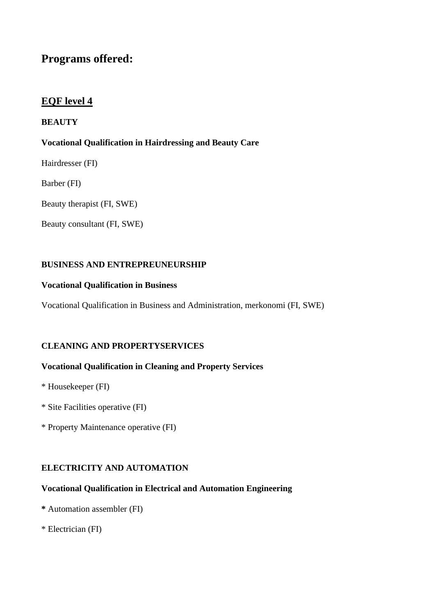# **Programs offered:**

## **EQF level 4**

## **BEAUTY**

## **Vocational Qualification in Hairdressing and Beauty Care**

- Hairdresser (FI)
- Barber (FI)
- Beauty therapist (FI, SWE)
- Beauty consultant (FI, SWE)

### **BUSINESS AND ENTREPREUNEURSHIP**

### **Vocational Qualification in Business**

Vocational Qualification in Business and Administration, merkonomi (FI, SWE)

## **CLEANING AND PROPERTYSERVICES**

## **Vocational Qualification in Cleaning and Property Services**

- \* Housekeeper (FI)
- \* Site Facilities operative (FI)
- \* Property Maintenance operative (FI)

## **ELECTRICITY AND AUTOMATION**

## **Vocational Qualification in Electrical and Automation Engineering**

- **\*** Automation assembler (FI)
- \* Electrician (FI)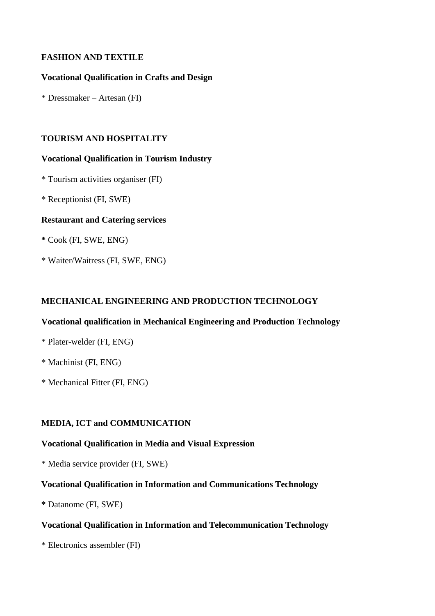### **FASHION AND TEXTILE**

### **Vocational Qualification in Crafts and Design**

\* Dressmaker – Artesan (FI)

### **TOURISM AND HOSPITALITY**

#### **Vocational Qualification in Tourism Industry**

\* Tourism activities organiser (FI)

\* Receptionist (FI, SWE)

#### **Restaurant and Catering services**

**\*** Cook (FI, SWE, ENG)

\* Waiter/Waitress (FI, SWE, ENG)

### **MECHANICAL ENGINEERING AND PRODUCTION TECHNOLOGY**

#### **Vocational qualification in Mechanical Engineering and Production Technology**

### \* Plater-welder (FI, ENG)

\* Machinist (FI, ENG)

\* Mechanical Fitter (FI, ENG)

#### **MEDIA, ICT and COMMUNICATION**

### **Vocational Qualification in Media and Visual Expression**

\* Media service provider (FI, SWE)

## **Vocational Qualification in Information and Communications Technology**

**\*** Datanome (FI, SWE)

## **Vocational Qualification in Information and Telecommunication Technology**

\* Electronics assembler (FI)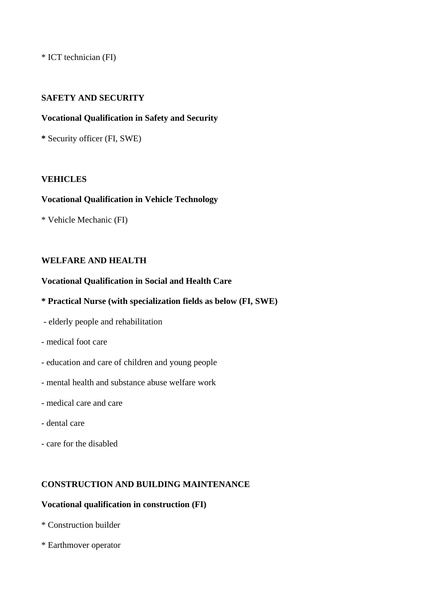\* ICT technician (FI)

### **SAFETY AND SECURITY**

#### **Vocational Qualification in Safety and Security**

**\*** Security officer (FI, SWE)

#### **VEHICLES**

#### **Vocational Qualification in Vehicle Technology**

\* Vehicle Mechanic (FI)

### **WELFARE AND HEALTH**

#### **Vocational Qualification in Social and Health Care**

### **\* Practical Nurse (with specialization fields as below (FI, SWE)**

- elderly people and rehabilitation
- medical foot care
- education and care of children and young people
- mental health and substance abuse welfare work
- medical care and care
- dental care
- care for the disabled

#### **CONSTRUCTION AND BUILDING MAINTENANCE**

### **Vocational qualification in construction (FI)**

- \* Construction builder
- \* Earthmover operator